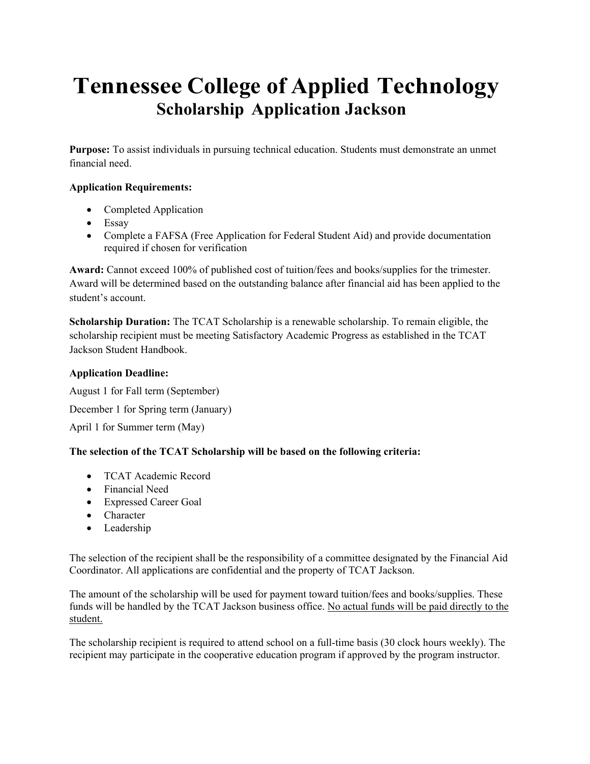# **Tennessee College of Applied Technology Scholarship Application Jackson**

**Purpose:** To assist individuals in pursuing technical education. Students must demonstrate an unmet financial need.

### **Application Requirements:**

- Completed Application
- Essay
- Complete a FAFSA (Free Application for Federal Student Aid) and provide documentation required if chosen for verification

**Award:** Cannot exceed 100% of published cost of tuition/fees and books/supplies for the trimester. Award will be determined based on the outstanding balance after financial aid has been applied to the student's account.

**Scholarship Duration:** The TCAT Scholarship is a renewable scholarship. To remain eligible, the scholarship recipient must be meeting Satisfactory Academic Progress as established in the TCAT Jackson Student Handbook.

#### **Application Deadline:**

August 1 for Fall term (September) December 1 for Spring term (January) April 1 for Summer term (May)

### **The selection of the TCAT Scholarship will be based on the following criteria:**

- TCAT Academic Record
- Financial Need
- Expressed Career Goal
- Character
- Leadership

The selection of the recipient shall be the responsibility of a committee designated by the Financial Aid Coordinator. All applications are confidential and the property of TCAT Jackson.

The amount of the scholarship will be used for payment toward tuition/fees and books/supplies. These funds will be handled by the TCAT Jackson business office. No actual funds will be paid directly to the student.

The scholarship recipient is required to attend school on a full-time basis (30 clock hours weekly). The recipient may participate in the cooperative education program if approved by the program instructor.